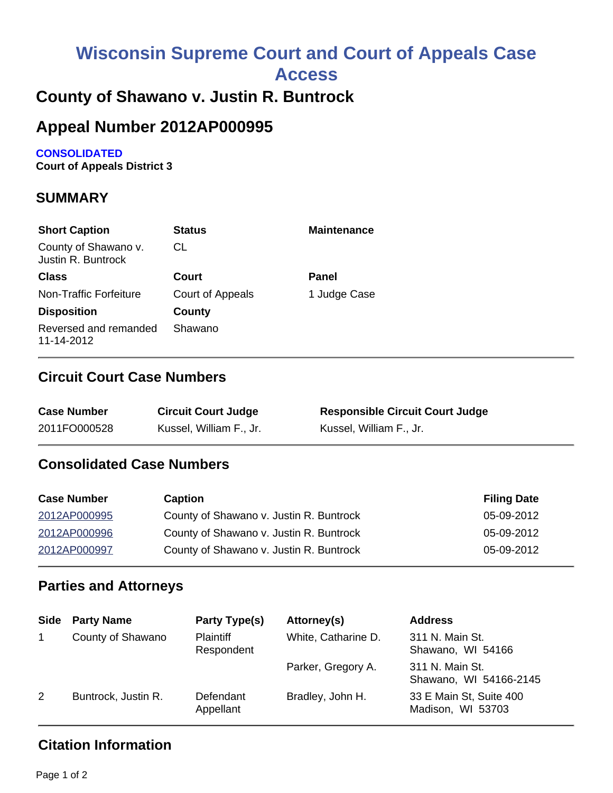# **Wisconsin Supreme Court and Court of Appeals Case**

**Access**

# **County of Shawano v. Justin R. Buntrock**

# **Appeal Number 2012AP000995**

#### **CONSOLIDATED**

**Court of Appeals District 3**

### **SUMMARY**

| <b>Short Caption</b>                       | <b>Status</b>    | <b>Maintenance</b> |
|--------------------------------------------|------------------|--------------------|
| County of Shawano v.<br>Justin R. Buntrock | CL               |                    |
| <b>Class</b>                               | Court            | Panel              |
| <b>Non-Traffic Forfeiture</b>              | Court of Appeals | 1 Judge Case       |
| <b>Disposition</b>                         | County           |                    |
| Reversed and remanded<br>11-14-2012        | Shawano          |                    |

#### **Circuit Court Case Numbers**

| <b>Case Number</b> | <b>Circuit Court Judge</b> | <b>Responsible Circuit Court Judge</b> |
|--------------------|----------------------------|----------------------------------------|
| 2011FO000528       | Kussel, William F., Jr.    | Kussel, William F., Jr.                |

#### **Consolidated Case Numbers**

| <b>Case Number</b> | <b>Caption</b>                          | <b>Filing Date</b> |
|--------------------|-----------------------------------------|--------------------|
| 2012AP000995       | County of Shawano v. Justin R. Buntrock | 05-09-2012         |
| 2012AP000996       | County of Shawano v. Justin R. Buntrock | 05-09-2012         |
| 2012AP000997       | County of Shawano v. Justin R. Buntrock | 05-09-2012         |

#### **Parties and Attorneys**

| <b>Side</b> | <b>Party Name</b>   | Party Type(s)                  | Attorney(s)         | <b>Address</b>                               |
|-------------|---------------------|--------------------------------|---------------------|----------------------------------------------|
|             | County of Shawano   | <b>Plaintiff</b><br>Respondent | White, Catharine D. | 311 N. Main St.<br>Shawano, WI 54166         |
|             |                     |                                | Parker, Gregory A.  | 311 N. Main St.<br>Shawano, WI 54166-2145    |
| 2           | Buntrock, Justin R. | Defendant<br>Appellant         | Bradley, John H.    | 33 E Main St, Suite 400<br>Madison, WI 53703 |

## **Citation Information**

Page 1 of 2